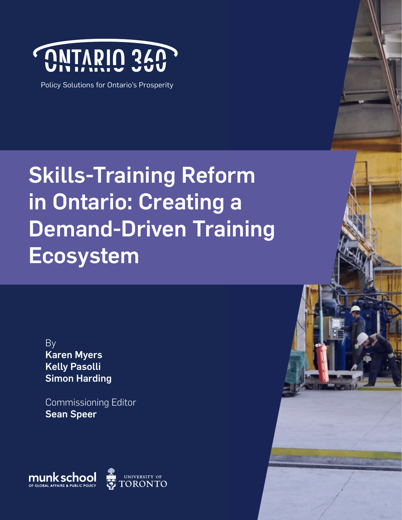

Policy Solutions for Ontario's Prosperity

# Skills-Training Reform in Ontario: Creating a Demand-Driven Training Ecosystem

By Karen Myers Kelly Pasolli Simon Harding

Commissioning Editor Sean Speer

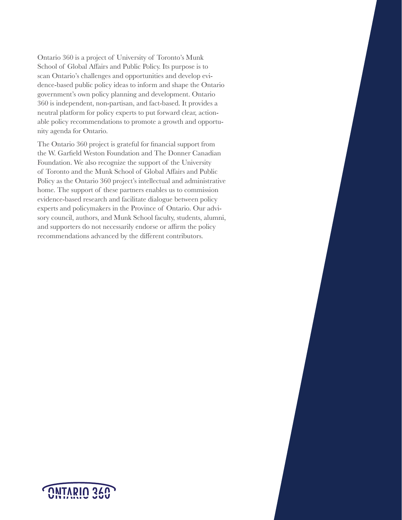Ontario 360 is a project of University of Toronto's Munk School of Global Affairs and Public Policy. Its purpose is to scan Ontario's challenges and opportunities and develop evidence-based public policy ideas to inform and shape the Ontario government's own policy planning and development. Ontario 360 is independent, non-partisan, and fact-based. It provides a neutral platform for policy experts to put forward clear, actionable policy recommendations to promote a growth and opportunity agenda for Ontario.

The Ontario 360 project is grateful for financial support from the W. Garfield Weston Foundation and The Donner Canadian Foundation. We also recognize the support of the University of Toronto and the Munk School of Global Affairs and Public Policy as the Ontario 360 project's intellectual and administrative home. The support of these partners enables us to commission evidence-based research and facilitate dialogue between policy experts and policymakers in the Province of Ontario. Our advisory council, authors, and Munk School faculty, students, alumni, and supporters do not necessarily endorse or affirm the policy recommendations advanced by the different contributors.

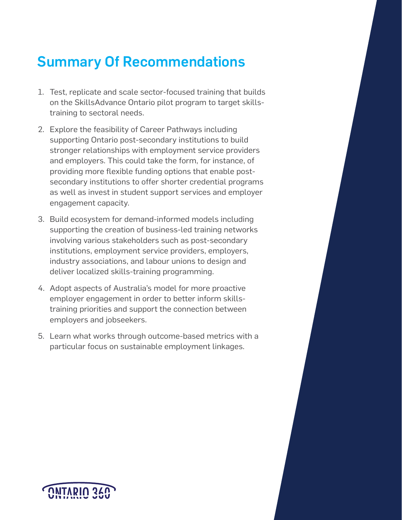# Summary Of Recommendations

- 1. Test, replicate and scale sector-focused training that builds on the SkillsAdvance Ontario pilot program to target skillstraining to sectoral needs.
- 2. Explore the feasibility of Career Pathways including supporting Ontario post-secondary institutions to build stronger relationships with employment service providers and employers. This could take the form, for instance, of providing more flexible funding options that enable postsecondary institutions to offer shorter credential programs as well as invest in student support services and employer engagement capacity.
- 3. Build ecosystem for demand-informed models including supporting the creation of business-led training networks involving various stakeholders such as post-secondary institutions, employment service providers, employers, industry associations, and labour unions to design and deliver localized skills-training programming.
- 4. Adopt aspects of Australia's model for more proactive employer engagement in order to better inform skillstraining priorities and support the connection between employers and jobseekers.
- 5. Learn what works through outcome-based metrics with a particular focus on sustainable employment linkages.

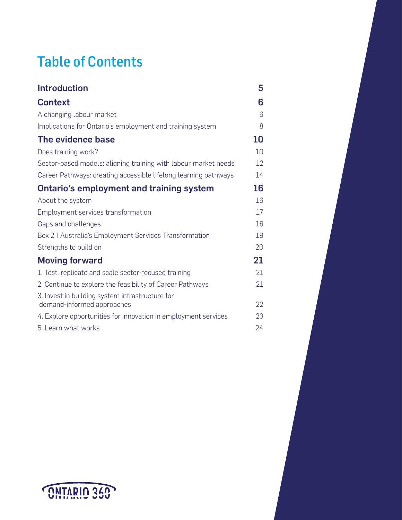# Table of Contents

| <b>Introduction</b>                                                           | 5  |
|-------------------------------------------------------------------------------|----|
| <b>Context</b>                                                                | 6  |
| A changing labour market                                                      | 6  |
| Implications for Ontario's employment and training system                     | 8  |
| The evidence base                                                             | 10 |
| Does training work?                                                           | 10 |
| Sector-based models: aligning training with labour market needs               | 12 |
| Career Pathways: creating accessible lifelong learning pathways               | 14 |
| <b>Ontario's employment and training system</b>                               | 16 |
| About the system                                                              | 16 |
| Employment services transformation                                            | 17 |
| Gaps and challenges                                                           | 18 |
| Box 2   Australia's Employment Services Transformation                        | 19 |
| Strengths to build on                                                         | 20 |
| <b>Moving forward</b>                                                         | 21 |
| 1. Test, replicate and scale sector-focused training                          | 21 |
| 2. Continue to explore the feasibility of Career Pathways                     | 21 |
| 3. Invest in building system infrastructure for<br>demand-informed approaches | 22 |
| 4. Explore opportunities for innovation in employment services                | 23 |
| 5. Learn what works                                                           | 24 |

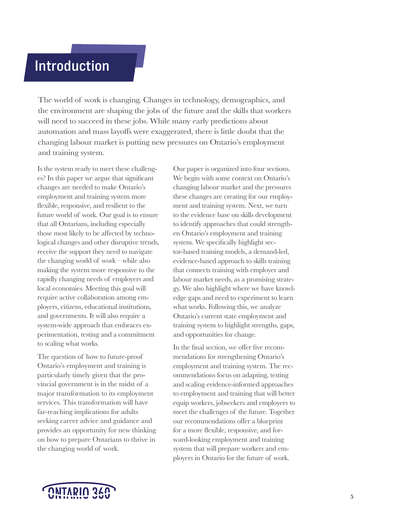# <span id="page-4-0"></span>**Introduction**

The world of work is changing. Changes in technology, demographics, and the environment are shaping the jobs of the future and the skills that workers will need to succeed in these jobs. While many early predictions about automation and mass layoffs were exaggerated, there is little doubt that the changing labour market is putting new pressures on Ontario's employment and training system.

Is the system ready to meet these challenges? In this paper we argue that significant changes are needed to make Ontario's employment and training system more flexible, responsive, and resilient to the future world of work. Our goal is to ensure that all Ontarians, including especially those most likely to be affected by technological changes and other disruptive trends, receive the support they need to navigate the changing world of work – while also making the system more responsive to the rapidly changing needs of employers and local economies. Meeting this goal will require active collaboration among employers, citizens, educational institutions, and governments. It will also require a system-wide approach that embraces experimentation, testing and a commitment to scaling what works.

The question of how to future-proof Ontario's employment and training is particularly timely given that the provincial government is in the midst of a major transformation to its employment services. This transformation will have far-reaching implications for adults seeking career advice and guidance and provides an opportunity for new thinking on how to prepare Ontarians to thrive in the changing world of work.

Our paper is organized into four sections. We begin with some context on Ontario's changing labour market and the pressures these changes are creating for our employment and training system. Next, we turn to the evidence base on skills development to identify approaches that could strengthen Ontario's employment and training system. We specifically highlight sector-based training models, a demand-led, evidence-based approach to skills training that connects training with employer and labour market needs, as a promising strategy. We also highlight where we have knowledge gaps and need to experiment to learn what works. Following this, we analyze Ontario's current state employment and training system to highlight strengths, gaps, and opportunities for change.

In the final section, we offer five recommendations for strengthening Ontario's employment and training system. The recommendations focus on adapting, testing and scaling evidence-informed approaches to employment and training that will better equip workers, jobseekers and employers to meet the challenges of the future. Together our recommendations offer a blueprint for a more flexible, responsive, and forward-looking employment and training system that will prepare workers and employers in Ontario for the future of work.

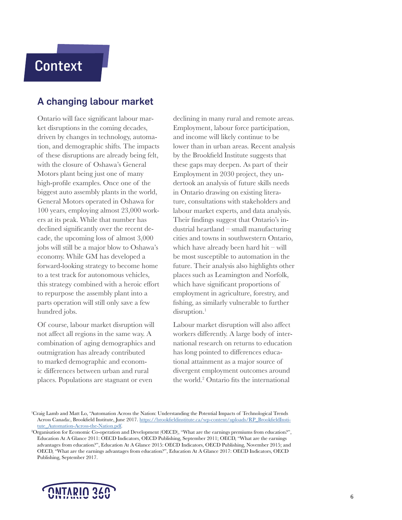# <span id="page-5-0"></span>**Context**

#### A changing labour market

Ontario will face significant labour market disruptions in the coming decades, driven by changes in technology, automation, and demographic shifts. The impacts of these disruptions are already being felt, with the closure of Oshawa's General Motors plant being just one of many high-profile examples. Once one of the biggest auto assembly plants in the world, General Motors operated in Oshawa for 100 years, employing almost 23,000 workers at its peak. While that number has declined significantly over the recent decade, the upcoming loss of almost 3,000 jobs will still be a major blow to Oshawa's economy. While GM has developed a forward-looking strategy to become home to a test track for autonomous vehicles, this strategy combined with a heroic effort to repurpose the assembly plant into a parts operation will still only save a few hundred jobs.

Of course, labour market disruption will not affect all regions in the same way. A combination of aging demographics and outmigration has already contributed to marked demographic and economic differences between urban and rural places. Populations are stagnant or even

declining in many rural and remote areas. Employment, labour force participation, and income will likely continue to be lower than in urban areas. Recent analysis by the Brookfield Institute suggests that these gaps may deepen. As part of their Employment in 2030 project, they undertook an analysis of future skills needs in Ontario drawing on existing literature, consultations with stakeholders and labour market experts, and data analysis. Their findings suggest that Ontario's industrial heartland – small manufacturing cities and towns in southwestern Ontario, which have already been hard hit – will be most susceptible to automation in the future. Their analysis also highlights other places such as Leamington and Norfolk, which have significant proportions of employment in agriculture, forestry, and fishing, as similarly vulnerable to further  $disruption.<sup>1</sup>$ 

Labour market disruption will also affect workers differently. A large body of international research on returns to education has long pointed to differences educational attainment as a major source of divergent employment outcomes around the world.<sup>2</sup> Ontario fits the international

<sup>2</sup> Organisation for Economic Co-operation and Development (OECD), "What are the earnings premiums from education?", Education At A Glance 2011: OECD Indicators, OECD Publishing, September 2011; OECD, "What are the earnings advantages from education?", Education At A Glance 2015: OECD Indicators, OECD Publishing, November 2015; and OECD, "What are the earnings advantages from education?", Education At A Glance 2017: OECD Indicators, OECD Publishing, September 2017.



<sup>1</sup> Craig Lamb and Matt Lo, "Automation Across the Nation: Understanding the Potential Impacts of Technological Trends Across Canada:, Brookfield Institute, June 2017. [https://brookfieldinstitute.ca/wp-content/uploads/RP\\_BrookfieldInsti](https://brookfieldinstitute.ca/wp-content/uploads/RP_BrookfieldInstitute_Automation-Across-the-Nation.pdf)[tute\\_Automation-Across-the-Nation.pdf.](https://brookfieldinstitute.ca/wp-content/uploads/RP_BrookfieldInstitute_Automation-Across-the-Nation.pdf)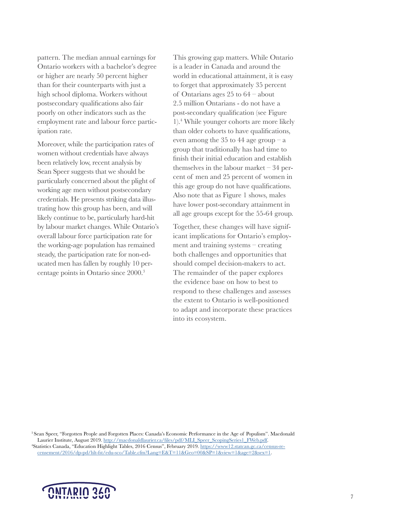pattern. The median annual earnings for Ontario workers with a bachelor's degree or higher are nearly 50 percent higher than for their counterparts with just a high school diploma. Workers without postsecondary qualifications also fair poorly on other indicators such as the employment rate and labour force participation rate.

Moreover, while the participation rates of women without credentials have always been relatively low, recent analysis by Sean Speer suggests that we should be particularly concerned about the plight of working age men without postsecondary credentials. He presents striking data illustrating how this group has been, and will likely continue to be, particularly hard-hit by labour market changes. While Ontario's overall labour force participation rate for the working-age population has remained steady, the participation rate for non-educated men has fallen by roughly 10 percentage points in Ontario since 2000.<sup>3</sup>

This growing gap matters. While Ontario is a leader in Canada and around the world in educational attainment, it is easy to forget that approximately 35 percent of Ontarians ages 25 to 64 – about 2.5 million Ontarians - do not have a post-secondary qualification (see Figure 1).<sup>4</sup> While younger cohorts are more likely than older cohorts to have qualifications, even among the 35 to 44 age group  $-a$ group that traditionally has had time to finish their initial education and establish themselves in the labour market – 34 percent of men and 25 percent of women in this age group do not have qualifications. Also note that as Figure 1 shows, males have lower post-secondary attainment in all age groups except for the 55-64 group.

Together, these changes will have significant implications for Ontario's employment and training systems – creating both challenges and opportunities that should compel decision-makers to act. The remainder of the paper explores the evidence base on how to best to respond to these challenges and assesses the extent to Ontario is well-positioned to adapt and incorporate these practices into its ecosystem.

<sup>3</sup>Sean Speer, "Forgotten People and Forgotten Places: Canada's Economic Performance in the Age of Populism". Macdonald Laurier Institute, August 2019. [http://macdonaldlaurier.ca/files/pdf/MLI\\_Speer\\_ScopingSeries1\\_FWeb.pdf.](http://macdonaldlaurier.ca/files/pdf/MLI_Speer_ScopingSeries1_FWeb.pdf) 4 Statistics Canada, "Education Highlight Tables, 2016 Census", February 2019. [https://www12.statcan.gc.ca/census-re](https://www12.statcan.gc.ca/census-recensement/2016/dp-pd/hlt-fst/edu-sco/Table.cfm?Lang=E&T=11&Geo=00&SP=1&view=1&age=2&sex=1)[censement/2016/dp-pd/hlt-fst/edu-sco/Table.cfm?Lang=E&T=11&Geo=00&SP=1&view=1&age=2&sex=1.](https://www12.statcan.gc.ca/census-recensement/2016/dp-pd/hlt-fst/edu-sco/Table.cfm?Lang=E&T=11&Geo=00&SP=1&view=1&age=2&sex=1)

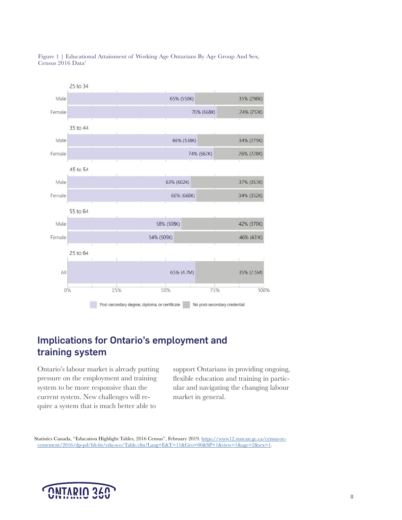<span id="page-7-0"></span>



#### Implications for Ontario's employment and training system

Ontario's labour market is already putting pressure on the employment and training system to be more responsive than the current system. New challenges will require a system that is much better able to

support Ontarians in providing ongoing, flexible education and training in particular and navigating the changing labour market in general.

 Statistics Canada, "Education Highlight Tables, 2016 Census", February 2019. [https://www12.statcan.gc.ca/census-re](https://www12.statcan.gc.ca/census-recensement/2016/dp-pd/hlt-fst/edu-sco/Table.cfm?Lang=E&T=11&Geo=00&SP=1&view=1&age=2&sex=1)[censement/2016/dp-pd/hlt-fst/edu-sco/Table.cfm?Lang=E&T=11&Geo=00&SP=1&view=1&age=2&sex=1.](https://www12.statcan.gc.ca/census-recensement/2016/dp-pd/hlt-fst/edu-sco/Table.cfm?Lang=E&T=11&Geo=00&SP=1&view=1&age=2&sex=1)

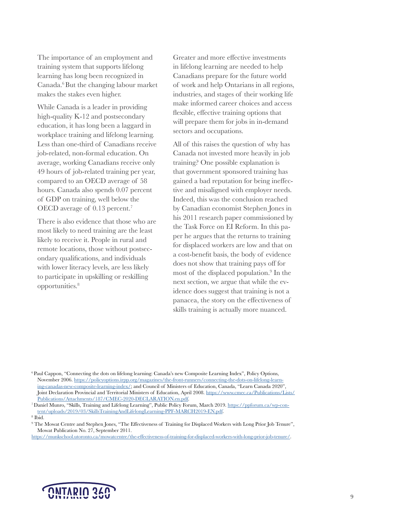The importance of an employment and training system that supports lifelong learning has long been recognized in Canada.<sup>6</sup>But the changing labour market makes the stakes even higher.

While Canada is a leader in providing high-quality K-12 and postsecondary education, it has long been a laggard in workplace training and lifelong learning. Less than one-third of Canadians receive job-related, non-formal education. On average, working Canadians receive only 49 hours of job-related training per year, compared to an OECD average of 58 hours. Canada also spends 0.07 percent of GDP on training, well below the OECD average of 0.13 percent.7

There is also evidence that those who are most likely to need training are the least likely to receive it. People in rural and remote locations, those without postsecondary qualifications, and individuals with lower literacy levels, are less likely to participate in upskilling or reskilling opportunities.<sup>8</sup>

Greater and more effective investments in lifelong learning are needed to help Canadians prepare for the future world of work and help Ontarians in all regions, industries, and stages of their working life make informed career choices and access flexible, effective training options that will prepare them for jobs in in-demand sectors and occupations.

All of this raises the question of why has Canada not invested more heavily in job training? One possible explanation is that government sponsored training has gained a bad reputation for being ineffective and misaligned with employer needs. Indeed, this was the conclusion reached by Canadian economist Stephen Jones in his 2011 research paper commissioned by the Task Force on EI Reform. In this paper he argues that the returns to training for displaced workers are low and that on a cost-benefit basis, the body of evidence does not show that training pays off for most of the displaced population.9 In the next section, we argue that while the evidence does suggest that training is not a panacea, the story on the effectiveness of skills training is actually more nuanced.

<sup>6</sup> Paul Cappon, "Connecting the dots on lifelong learning: Canada's new Composite Learning Index", Policy Options, November 2006. [https://policyoptions.irpp.org/magazines/the-front-runners/connecting-the-dots-on-lifelong-learn](https://policyoptions.irpp.org/magazines/the-front-runners/connecting-the-dots-on-lifelong-learning-canadas-new-composite-learning-index/)[ing-canadas-new-composite-learning-index/](https://policyoptions.irpp.org/magazines/the-front-runners/connecting-the-dots-on-lifelong-learning-canadas-new-composite-learning-index/); and Council of Ministers of Education, Canada, "Learn Canada 2020", Joint Declaration Provincial and Territorial Ministers of Education, April 2008. [https://www.cmec.ca/Publications/Lists/](https://www.cmec.ca/Publications/Lists/Publications/Attachments/187/CMEC-2020-DECLARATION.en.pdf) [Publications/Attachments/187/CMEC-2020-DECLARATION.en.pdf](https://www.cmec.ca/Publications/Lists/Publications/Attachments/187/CMEC-2020-DECLARATION.en.pdf).

<sup>7</sup> Daniel Munro, "Skills, Training and Lifelong Learning", Public Policy Forum, March 2019. [https://ppforum.ca/wp-con](https://ppforum.ca/wp-content/uploads/2019/03/SkillsTrainingAndLifelongLearning-PPF-MARCH2019-EN.pdf)[tent/uploads/2019/03/SkillsTrainingAndLifelongLearning-PPF-MARCH2019-EN.pdf](https://ppforum.ca/wp-content/uploads/2019/03/SkillsTrainingAndLifelongLearning-PPF-MARCH2019-EN.pdf).

9 The Mowat Centre and Stephen Jones, "The Effectiveness of Training for Displaced Workers with Long Prior Job Tenure", Mowat Publication No. 27, September 2011.

<https://munkschool.utoronto.ca/mowatcentre/the-effectiveness-of-training-for-displaced-workers-with-long-prior-job-tenure/>.



<sup>8</sup> Ibid.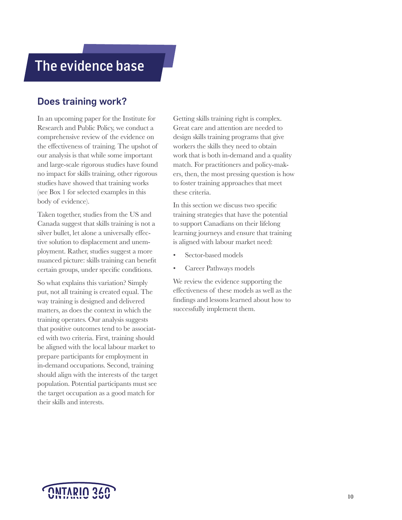### <span id="page-9-0"></span>The evidence base

#### Does training work?

In an upcoming paper for the Institute for Research and Public Policy, we conduct a comprehensive review of the evidence on the effectiveness of training. The upshot of our analysis is that while some important and large-scale rigorous studies have found no impact for skills training, other rigorous studies have showed that training works (see Box 1 for selected examples in this body of evidence).

Taken together, studies from the US and Canada suggest that skills training is not a silver bullet, let alone a universally effective solution to displacement and unemployment. Rather, studies suggest a more nuanced picture: skills training can benefit certain groups, under specific conditions.

So what explains this variation? Simply put, not all training is created equal. The way training is designed and delivered matters, as does the context in which the training operates. Our analysis suggests that positive outcomes tend to be associated with two criteria. First, training should be aligned with the local labour market to prepare participants for employment in in-demand occupations. Second, training should align with the interests of the target population. Potential participants must see the target occupation as a good match for their skills and interests.

Getting skills training right is complex. Great care and attention are needed to design skills training programs that give workers the skills they need to obtain work that is both in-demand and a quality match. For practitioners and policy-makers, then, the most pressing question is how to foster training approaches that meet these criteria.

In this section we discuss two specific training strategies that have the potential to support Canadians on their lifelong learning journeys and ensure that training is aligned with labour market need:

- Sector-based models
- Career Pathways models

We review the evidence supporting the effectiveness of these models as well as the findings and lessons learned about how to successfully implement them.

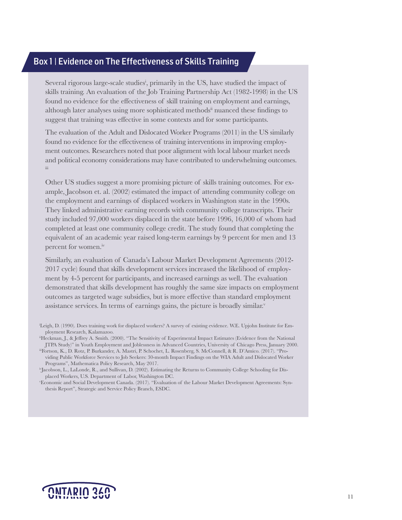#### Box 1 | Evidence on The Effectiveness of Skills Training

Several rigorous large-scale studies<sup>i</sup>, primarily in the US, have studied the impact of skills training. An evaluation of the Job Training Partnership Act (1982-1998) in the US found no evidence for the effectiveness of skill training on employment and earnings, although later analyses using more sophisticated methodsii nuanced these findings to suggest that training was effective in some contexts and for some participants.

The evaluation of the Adult and Dislocated Worker Programs (2011) in the US similarly found no evidence for the effectiveness of training interventions in improving employment outcomes. Researchers noted that poor alignment with local labour market needs and political economy considerations may have contributed to underwhelming outcomes. iii

Other US studies suggest a more promising picture of skills training outcomes. For example, Jacobson et. al. (2002) estimated the impact of attending community college on the employment and earnings of displaced workers in Washington state in the 1990s. They linked administrative earning records with community college transcripts. Their study included 97,000 workers displaced in the state before 1996, 16,000 of whom had completed at least one community college credit. The study found that completing the equivalent of an academic year raised long-term earnings by 9 percent for men and 13 percent for women.<sup>iv</sup>

Similarly, an evaluation of Canada's Labour Market Development Agreements (2012- 2017 cycle) found that skills development services increased the likelihood of employment by 4-5 percent for participants, and increased earnings as well. The evaluation demonstrated that skills development has roughly the same size impacts on employment outcomes as targeted wage subsidies, but is more effective than standard employment assistance services. In terms of earnings gains, the picture is broadly similar.<sup>v</sup>



i Leigh, D. (1990). Does training work for displaced workers? A survey of existing evidence. W.E. Upjohn Institute for Employment Research, Kalamazoo.

<sup>&</sup>lt;sup>ii</sup>Heckman, J., & Jeffrey A. Smith. (2000). "The Sensitivity of Experimental Impact Estimates (Evidence from the National JTPA Study)" in Youth Employment and Joblessness in Advanced Countries, University of Chicago Press, January 2000.

iiiFortson, K., D. Rotz, P. Burkander, A. Mastri, P. Schochet, L. Rosenberg, S. McConnell, & R. D'Amico. (2017). "Providing Public Workforce Services to Job Seekers: 30-month Impact Findings on the WIA Adult and Dislocated Worker Programs", Mathematica Policy Research, May 2017.

ivJacobson, L., LaLonde, R., and Sullivan, D. (2002). Estimating the Returns to Community College Schooling for Displaced Workers, U.S. Department of Labor, Washington DC.

v Economic and Social Development Canada. (2017). "Evaluation of the Labour Market Development Agreements: Synthesis Report", Strategic and Service Policy Branch, ESDC.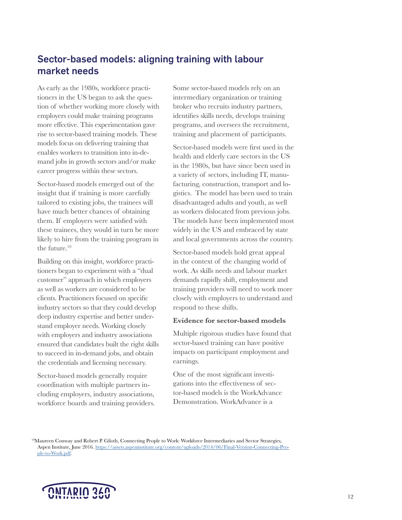### <span id="page-11-0"></span>Sector-based models: aligning training with labour market needs

As early as the 1980s, workforce practitioners in the US began to ask the question of whether working more closely with employers could make training programs more effective. This experimentation gave rise to sector-based training models. These models focus on delivering training that enables workers to transition into in-demand jobs in growth sectors and/or make career progress within these sectors.

Sector-based models emerged out of the insight that if training is more carefully tailored to existing jobs, the trainees will have much better chances of obtaining them. If employers were satisfied with these trainees, they would in turn be more likely to hire from the training program in the future.<sup>10</sup>

Building on this insight, workforce practitioners began to experiment with a "dual customer" approach in which employers as well as workers are considered to be clients. Practitioners focused on specific industry sectors so that they could develop deep industry expertise and better understand employer needs. Working closely with employers and industry associations ensured that candidates built the right skills to succeed in in-demand jobs, and obtain the credentials and licensing necessary.

Sector-based models generally require coordination with multiple partners including employers, industry associations, workforce boards and training providers. Some sector-based models rely on an intermediary organization or training broker who recruits industry partners, identifies skills needs, develops training programs, and oversees the recruitment, training and placement of participants.

Sector-based models were first used in the health and elderly care sectors in the US in the 1980s, but have since been used in a variety of sectors, including IT, manufacturing, construction, transport and logistics. The model has been used to train disadvantaged adults and youth, as well as workers dislocated from previous jobs. The models have been implemented most widely in the US and embraced by state and local governments across the country.

Sector-based models hold great appeal in the context of the changing world of work. As skills needs and labour market demands rapidly shift, employment and training providers will need to work more closely with employers to understand and respond to these shifts.

#### **Evidence for sector-based models**

Multiple rigorous studies have found that sector-based training can have positive impacts on participant employment and earnings.

One of the most significant investigations into the effectiveness of sector-based models is the WorkAdvance Demonstration. WorkAdvance is a

<sup>10</sup>Maureen Conway and Robert P. Giloth, Connecting People to Work: Workforce Intermediaries and Sector Strategies, Aspen Institute, June 2016. [https://assets.aspeninstitute.org/content/uploads/2014/06/Final-Version-Connecting-Peo](https://assets.aspeninstitute.org/content/uploads/2014/06/Final-Version-Connecting-People-to-Work.pdf)[ple-to-Work.pdf.](https://assets.aspeninstitute.org/content/uploads/2014/06/Final-Version-Connecting-People-to-Work.pdf)

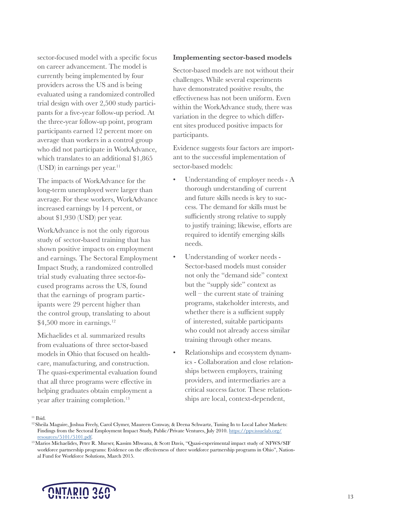sector-focused model with a specific focus on career advancement. The model is currently being implemented by four providers across the US and is being evaluated using a randomized controlled trial design with over 2,500 study participants for a five-year follow-up period. At the three-year follow-up point, program participants earned 12 percent more on average than workers in a control group who did not participate in WorkAdvance, which translates to an additional \$1,865  $(USD)$  in earnings per year.<sup>11</sup>

The impacts of WorkAdvance for the long-term unemployed were larger than average. For these workers, WorkAdvance increased earnings by 14 percent, or about \$1,930 (USD) per year.

WorkAdvance is not the only rigorous study of sector-based training that has shown positive impacts on employment and earnings. The Sectoral Employment Impact Study, a randomized controlled trial study evaluating three sector-focused programs across the US, found that the earnings of program participants were 29 percent higher than the control group, translating to about  $$4,500$  more in earnings.<sup>12</sup>

Michaelides et al. summarized results from evaluations of three sector-based models in Ohio that focused on healthcare, manufacturing, and construction. The quasi-experimental evaluation found that all three programs were effective in helping graduates obtain employment a year after training completion.<sup>13</sup>

#### **Implementing sector-based models**

Sector-based models are not without their challenges. While several experiments have demonstrated positive results, the effectiveness has not been uniform. Even within the WorkAdvance study, there was variation in the degree to which different sites produced positive impacts for participants.

Evidence suggests four factors are important to the successful implementation of sector-based models:

- Understanding of employer needs A thorough understanding of current and future skills needs is key to success. The demand for skills must be sufficiently strong relative to supply to justify training; likewise, efforts are required to identify emerging skills needs.
- Understanding of worker needs Sector-based models must consider not only the "demand side" context but the "supply side" context as well – the current state of training programs, stakeholder interests, and whether there is a sufficient supply of interested, suitable participants who could not already access similar training through other means.
- Relationships and ecosystem dynamics - Collaboration and close relationships between employers, training providers, and intermediaries are a critical success factor. These relationships are local, context-dependent,

<sup>11</sup> Ibid.

<sup>13</sup>Marios Michaelides, Peter R. Mueser, Kassim Mbwana, & Scott Davis, "Quasi-experimental impact study of NFWS/SIF workforce partnership programs: Evidence on the effectiveness of three workforce partnership programs in Ohio", National Fund for Workforce Solutions, March 2015.



<sup>&</sup>lt;sup>12</sup> Sheila Maguire, Joshua Freely, Carol Clymer, Maureen Conway, & Deena Schwartz, Tuning In to Local Labor Markets: Findings from the Sectoral Employment Impact Study, Public/Private Ventures, July 2010. [https://ppv.issuelab.org/](https://ppv.issuelab.org/resources/5101/5101.pdf) [resources/5101/5101.pdf](https://ppv.issuelab.org/resources/5101/5101.pdf).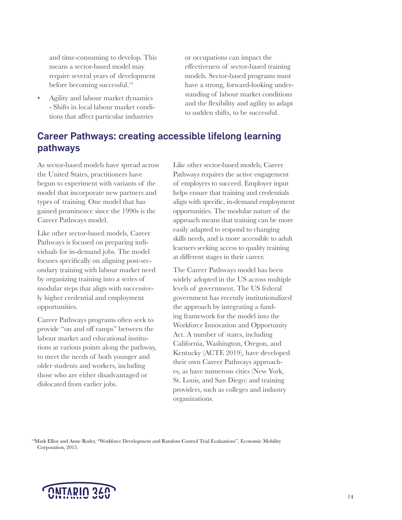<span id="page-13-0"></span>and time-consuming to develop. This means a sector-based model may require several years of development before becoming successful.<sup>14</sup>

• Agility and labour market dynamics - Shifts in local labour market conditions that affect particular industries

or occupations can impact the effectiveness of sector-based training models. Sector-based programs must have a strong, forward-looking understanding of labour market conditions and the flexibility and agility to adapt to sudden shifts, to be successful.

### Career Pathways: creating accessible lifelong learning pathways

As sector-based models have spread across the United States, practitioners have begun to experiment with variants of the model that incorporate new partners and types of training. One model that has gained prominence since the 1990s is the Career Pathways model.

Like other sector-based models, Career Pathways is focused on preparing individuals for in-demand jobs. The model focuses specifically on aligning post-secondary training with labour market need by organizing training into a series of modular steps that align with successively higher credential and employment opportunities.

Career Pathways programs often seek to provide "on and off ramps" between the labour market and educational institutions at various points along the pathway, to meet the needs of both younger and older students and workers, including those who are either disadvantaged or dislocated from earlier jobs.

Like other sector-based models, Career Pathways requires the active engagement of employers to succeed. Employer input helps ensure that training and credentials align with specific, in-demand employment opportunities. The modular nature of the approach means that training can be more easily adapted to respond to changing skills needs, and is more accessible to adult learners seeking access to quality training at different stages in their career.

The Career Pathways model has been widely adopted in the US across multiple levels of government. The US federal government has recently institutionalized the approach by integrating a funding framework for the model into the Workforce Innovation and Opportunity Act. A number of states, including California, Washington, Oregon, and Kentucky (ACTE 2019), have developed their own Career Pathways approaches, as have numerous cities (New York, St. Louis, and San Diego) and training providers, such as colleges and industry organizations.

<sup>14</sup>Mark Elliot and Anne Roder, "Workforce Development and Random Control Trial Evaluations", Economic Mobility Corporation, 2015.

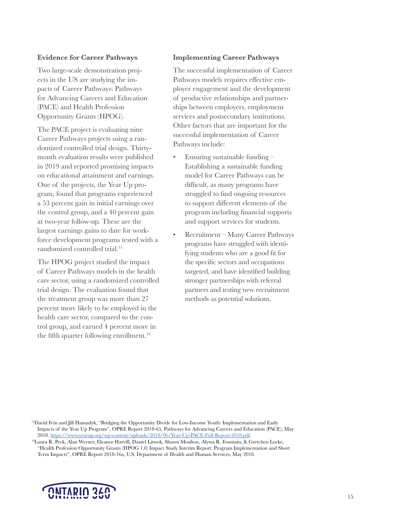#### **Evidence for Career Pathways**

Two large-scale demonstration projects in the US are studying the impacts of Career Pathways: Pathways for Advancing Careers and Education (PACE) and Health Profession Opportunity Grants (HPOG).

The PACE project is evaluating nine Career Pathways projects using a randomized controlled trial design. Thirtymonth evaluation results were published in 2019 and reported promising impacts on educational attainment and earnings. One of the projects, the Year Up program, found that programs experienced a 53 percent gain in initial earnings over the control group, and a 40 percent gain at two-year follow-up. These are the largest earnings gains to date for workforce development programs tested with a randomized controlled trial.<sup>15</sup>

The HPOG project studied the impact of Career Pathways models in the health care sector, using a randomized controlled trial design. The evaluation found that the treatment group was more than 27 percent more likely to be employed in the health care sector, compared to the control group, and earned 4 percent more in the fifth quarter following enrollment.<sup>16</sup>

#### **Implementing Career Pathways**

The successful implementation of Career Pathways models requires effective employer engagement and the development of productive relationships and partnerships between employers, employment services and postsecondary institutions. Other factors that are important for the successful implementation of Career Pathways include:

- Ensuring sustainable funding Establishing a sustainable funding model for Career Pathways can be difficult, as many programs have struggled to find ongoing resources to support different elements of the program including financial supports and support services for students.
- Recruitment Many Career Pathways programs have struggled with identifying students who are a good fit for the specific sectors and occupations targeted, and have identified building stronger partnerships with referral partners and testing new recruitment methods as potential solutions.

<sup>15</sup>David Fein and Jill Hamadyk, "Bridging the Opportunity Divide for Low-Income Youth: Implementation and Early Impacts of the Year Up Program", OPRE Report 2018-65, Pathways for Advancing Careers and Education (PACE), May 2018. [https://www.yearup.org/wp-content/uploads/2018/06/Year-Up-PACE-Full-Report-2018.pdf.](https://www.yearup.org/wp-content/uploads/2018/06/Year-Up-PACE-Full-Report-2018.pdf)

<sup>16</sup>Laura R. Peck, Alan Werner, Eleanor Harvill, Daniel Litwok, Shawn Moulton, Alyssa R. Fountain, & Gretchen Locke, "Health Profession Opportunity Grants (HPOG 1.0) Impact Study Interim Report: Program Implementation and Short Term Impacts", OPRE Report 2018-16a, U.S. Department of Health and Human Services, May 2018.

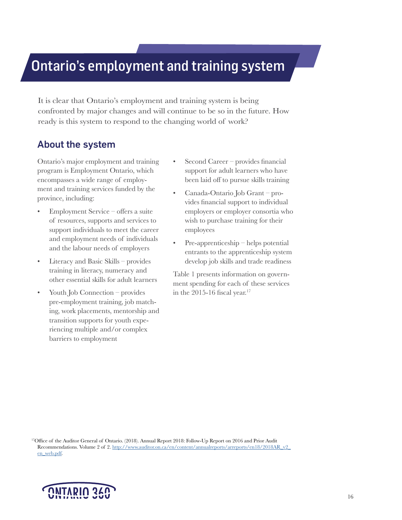## <span id="page-15-0"></span>Ontario's employment and training system

It is clear that Ontario's employment and training system is being confronted by major changes and will continue to be so in the future. How ready is this system to respond to the changing world of work?

#### About the system

Ontario's major employment and training program is Employment Ontario, which encompasses a wide range of employment and training services funded by the province, including:

- Employment Service offers a suite of resources, supports and services to support individuals to meet the career and employment needs of individuals and the labour needs of employers
- Literacy and Basic Skills provides training in literacy, numeracy and other essential skills for adult learners
- Youth Job Connection provides pre-employment training, job matching, work placements, mentorship and transition supports for youth experiencing multiple and/or complex barriers to employment
- Second Career provides financial support for adult learners who have been laid off to pursue skills training
- Canada-Ontario Job Grant provides financial support to individual employers or employer consortia who wish to purchase training for their employees
- Pre-apprenticeship helps potential entrants to the apprenticeship system develop job skills and trade readiness

Table 1 presents information on government spending for each of these services in the 2015-16 fiscal year.<sup>17</sup>

<sup>17</sup>Office of the Auditor General of Ontario. (2018). Annual Report 2018: Follow-Up Report on 2016 and Prior Audit Recommendations. Volume 2 of 2. [http://www.auditor.on.ca/en/content/annualreports/arreports/en18/2018AR\\_v2\\_](http://www.auditor.on.ca/en/content/annualreports/arreports/en18/2018AR_v2_en_web.pdf) [en\\_web.pdf.](http://www.auditor.on.ca/en/content/annualreports/arreports/en18/2018AR_v2_en_web.pdf)

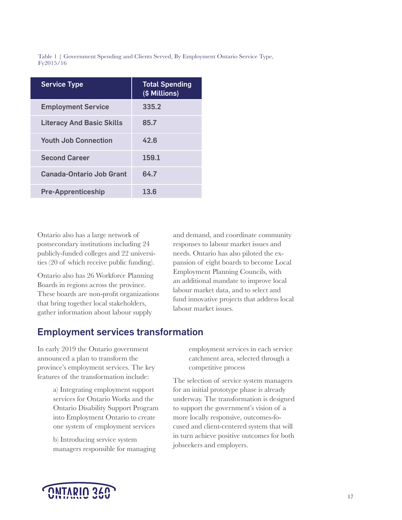<span id="page-16-0"></span>Table 1 | Government Spending and Clients Served, By Employment Ontario Service Type, Fy2015/16

| <b>Service Type</b>              | <b>Total Spending</b><br>(\$ Millions) |
|----------------------------------|----------------------------------------|
| <b>Employment Service</b>        | 335.2                                  |
| <b>Literacy And Basic Skills</b> | 85.7                                   |
| <b>Youth Job Connection</b>      | 42.6                                   |
| <b>Second Career</b>             | 159.1                                  |
| Canada-Ontario Job Grant         | 64.7                                   |
| <b>Pre-Apprenticeship</b>        | 13.6                                   |

Ontario also has a large network of postsecondary institutions including 24 publicly-funded colleges and 22 universities (20 of which receive public funding).

Ontario also has 26 Workforce Planning Boards in regions across the province. These boards are non-profit organizations that bring together local stakeholders, gather information about labour supply

#### Employment services transformation

In early 2019 the Ontario government announced a plan to transform the province's employment services. The key features of the transformation include:

> a) Integrating employment support services for Ontario Works and the Ontario Disability Support Program into Employment Ontario to create one system of employment services

b) Introducing service system managers responsible for managing employment services in each service catchment area, selected through a competitive process

and demand, and coordinate community responses to labour market issues and needs. Ontario has also piloted the expansion of eight boards to become Local Employment Planning Councils, with an additional mandate to improve local labour market data, and to select and fund innovative projects that address local

labour market issues.

The selection of service system managers for an initial prototype phase is already underway. The transformation is designed to support the government's vision of a more locally responsive, outcomes-focused and client-centered system that will in turn achieve positive outcomes for both jobseekers and employers.

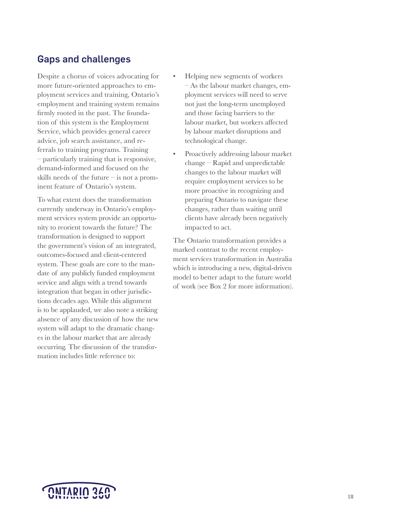#### <span id="page-17-0"></span>Gaps and challenges

Despite a chorus of voices advocating for more future-oriented approaches to employment services and training, Ontario's employment and training system remains firmly rooted in the past. The foundation of this system is the Employment Service, which provides general career advice, job search assistance, and referrals to training programs. Training – particularly training that is responsive, demand-informed and focused on the skills needs of the future – is not a prominent feature of Ontario's system.

To what extent does the transformation currently underway in Ontario's employment services system provide an opportunity to reorient towards the future? The transformation is designed to support the government's vision of an integrated, outcomes-focused and client-centered system. These goals are core to the mandate of any publicly funded employment service and align with a trend towards integration that began in other jurisdictions decades ago. While this alignment is to be applauded, we also note a striking absence of any discussion of how the new system will adapt to the dramatic changes in the labour market that are already occurring. The discussion of the transformation includes little reference to:

- Helping new segments of workers – As the labour market changes, employment services will need to serve not just the long-term unemployed and those facing barriers to the labour market, but workers affected by labour market disruptions and technological change.
- Proactively addressing labour market change – Rapid and unpredictable changes to the labour market will require employment services to be more proactive in recognizing and preparing Ontario to navigate these changes, rather than waiting until clients have already been negatively impacted to act.

The Ontario transformation provides a marked contrast to the recent employment services transformation in Australia which is introducing a new, digital-driven model to better adapt to the future world of work (see Box 2 for more information).

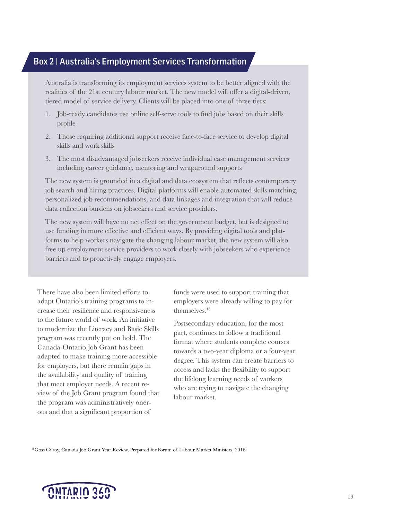#### <span id="page-18-0"></span>Box 2 | Australia's Employment Services Transformation

Australia is transforming its employment services system to be better aligned with the realities of the 21st century labour market. The new model will offer a digital-driven, tiered model of service delivery. Clients will be placed into one of three tiers:

- 1. Job-ready candidates use online self-serve tools to find jobs based on their skills profile
- 2. Those requiring additional support receive face-to-face service to develop digital skills and work skills
- 3. The most disadvantaged jobseekers receive individual case management services including career guidance, mentoring and wraparound supports

The new system is grounded in a digital and data ecosystem that reflects contemporary job search and hiring practices. Digital platforms will enable automated skills matching, personalized job recommendations, and data linkages and integration that will reduce data collection burdens on jobseekers and service providers.

The new system will have no net effect on the government budget, but is designed to use funding in more effective and efficient ways. By providing digital tools and platforms to help workers navigate the changing labour market, the new system will also free up employment service providers to work closely with jobseekers who experience barriers and to proactively engage employers.

There have also been limited efforts to adapt Ontario's training programs to increase their resilience and responsiveness to the future world of work. An initiative to modernize the Literacy and Basic Skills program was recently put on hold. The Canada-Ontario Job Grant has been adapted to make training more accessible for employers, but there remain gaps in the availability and quality of training that meet employer needs. A recent review of the Job Grant program found that the program was administratively onerous and that a significant proportion of

funds were used to support training that employers were already willing to pay for themselves.<sup>18</sup>

Postsecondary education, for the most part, continues to follow a traditional format where students complete courses towards a two-year diploma or a four-year degree. This system can create barriers to access and lacks the flexibility to support the lifelong learning needs of workers who are trying to navigate the changing labour market.

18Goss Gilroy, Canada Job Grant Year Review, Prepared for Forum of Labour Market Ministers, 2016.

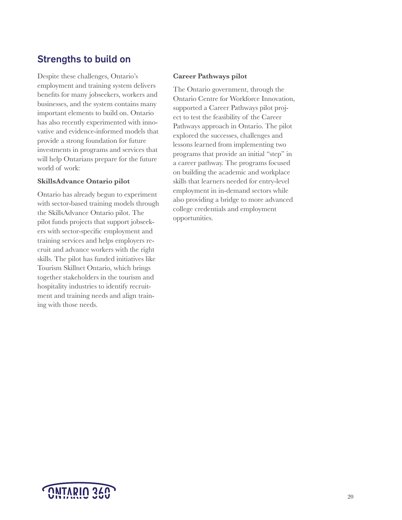### <span id="page-19-0"></span>Strengths to build on

Despite these challenges, Ontario's employment and training system delivers benefits for many jobseekers, workers and businesses, and the system contains many important elements to build on. Ontario has also recently experimented with innovative and evidence-informed models that provide a strong foundation for future investments in programs and services that will help Ontarians prepare for the future world of work:

#### **SkillsAdvance Ontario pilot**

Ontario has already begun to experiment with sector-based training models through the SkillsAdvance Ontario pilot. The pilot funds projects that support jobseekers with sector-specific employment and training services and helps employers recruit and advance workers with the right skills. The pilot has funded initiatives like Tourism Skillnet Ontario, which brings together stakeholders in the tourism and hospitality industries to identify recruitment and training needs and align training with those needs.

#### **Career Pathways pilot**

The Ontario government, through the Ontario Centre for Workforce Innovation, supported a Career Pathways pilot project to test the feasibility of the Career Pathways approach in Ontario. The pilot explored the successes, challenges and lessons learned from implementing two programs that provide an initial "step" in a career pathway. The programs focused on building the academic and workplace skills that learners needed for entry-level employment in in-demand sectors while also providing a bridge to more advanced college credentials and employment opportunities.

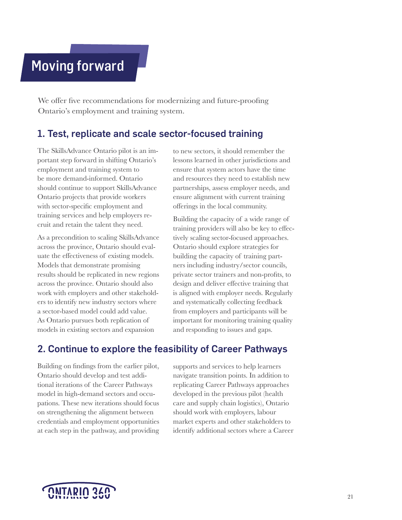# <span id="page-20-0"></span>Moving forward

We offer five recommendations for modernizing and future-proofing Ontario's employment and training system.

#### 1. Test, replicate and scale sector-focused training

The SkillsAdvance Ontario pilot is an important step forward in shifting Ontario's employment and training system to be more demand-informed. Ontario should continue to support SkillsAdvance Ontario projects that provide workers with sector-specific employment and training services and help employers recruit and retain the talent they need.

As a precondition to scaling SkillsAdvance across the province, Ontario should evaluate the effectiveness of existing models. Models that demonstrate promising results should be replicated in new regions across the province. Ontario should also work with employers and other stakeholders to identify new industry sectors where a sector-based model could add value. As Ontario pursues both replication of models in existing sectors and expansion

to new sectors, it should remember the lessons learned in other jurisdictions and ensure that system actors have the time and resources they need to establish new partnerships, assess employer needs, and ensure alignment with current training offerings in the local community.

Building the capacity of a wide range of training providers will also be key to effectively scaling sector-focused approaches. Ontario should explore strategies for building the capacity of training partners including industry/sector councils, private sector trainers and non-profits, to design and deliver effective training that is aligned with employer needs. Regularly and systematically collecting feedback from employers and participants will be important for monitoring training quality and responding to issues and gaps.

### 2. Continue to explore the feasibility of Career Pathways

Building on findings from the earlier pilot, Ontario should develop and test additional iterations of the Career Pathways model in high-demand sectors and occupations. These new iterations should focus on strengthening the alignment between credentials and employment opportunities at each step in the pathway, and providing supports and services to help learners navigate transition points. In addition to replicating Career Pathways approaches developed in the previous pilot (health care and supply chain logistics), Ontario should work with employers, labour market experts and other stakeholders to identify additional sectors where a Career

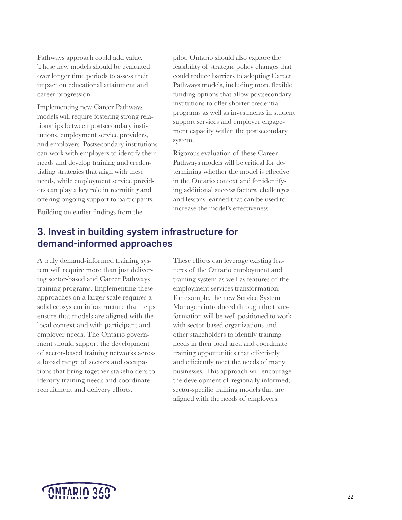<span id="page-21-0"></span>Pathways approach could add value. These new models should be evaluated over longer time periods to assess their impact on educational attainment and career progression.

Implementing new Career Pathways models will require fostering strong relationships between postsecondary institutions, employment service providers, and employers. Postsecondary institutions can work with employers to identify their needs and develop training and credentialing strategies that align with these needs, while employment service providers can play a key role in recruiting and offering ongoing support to participants.

Building on earlier findings from the

pilot, Ontario should also explore the feasibility of strategic policy changes that could reduce barriers to adopting Career Pathways models, including more flexible funding options that allow postsecondary institutions to offer shorter credential programs as well as investments in student support services and employer engagement capacity within the postsecondary system.

Rigorous evaluation of these Career Pathways models will be critical for determining whether the model is effective in the Ontario context and for identifying additional success factors, challenges and lessons learned that can be used to increase the model's effectiveness.

### 3. Invest in building system infrastructure for demand-informed approaches

A truly demand-informed training system will require more than just delivering sector-based and Career Pathways training programs. Implementing these approaches on a larger scale requires a solid ecosystem infrastructure that helps ensure that models are aligned with the local context and with participant and employer needs. The Ontario government should support the development of sector-based training networks across a broad range of sectors and occupations that bring together stakeholders to identify training needs and coordinate recruitment and delivery efforts.

These efforts can leverage existing features of the Ontario employment and training system as well as features of the employment services transformation. For example, the new Service System Managers introduced through the transformation will be well-positioned to work with sector-based organizations and other stakeholders to identify training needs in their local area and coordinate training opportunities that effectively and efficiently meet the needs of many businesses. This approach will encourage the development of regionally informed, sector-specific training models that are aligned with the needs of employers.

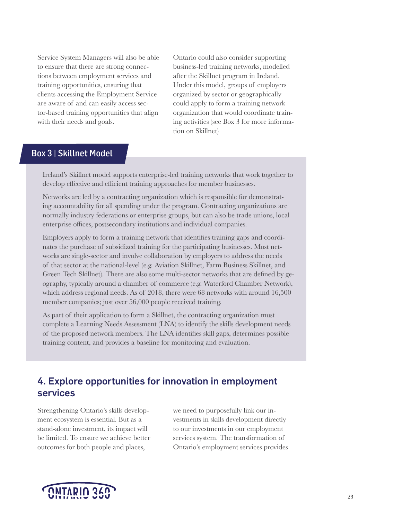<span id="page-22-0"></span>Service System Managers will also be able to ensure that there are strong connections between employment services and training opportunities, ensuring that clients accessing the Employment Service are aware of and can easily access sector-based training opportunities that align with their needs and goals.

Ontario could also consider supporting business-led training networks, modelled after the Skillnet program in Ireland. Under this model, groups of employers organized by sector or geographically could apply to form a training network organization that would coordinate training activities (see Box 3 for more information on Skillnet)

#### Box 3 | Skillnet Model

Ireland's Skillnet model supports enterprise-led training networks that work together to develop effective and efficient training approaches for member businesses.

Networks are led by a contracting organization which is responsible for demonstrating accountability for all spending under the program. Contracting organizations are normally industry federations or enterprise groups, but can also be trade unions, local enterprise offices, postsecondary institutions and individual companies.

Employers apply to form a training network that identifies training gaps and coordinates the purchase of subsidized training for the participating businesses. Most networks are single-sector and involve collaboration by employers to address the needs of that sector at the national-level (e.g. Aviation Skillnet, Farm Business Skillnet, and Green Tech Skillnet). There are also some multi-sector networks that are defined by geography, typically around a chamber of commerce (e.g. Waterford Chamber Network), which address regional needs. As of 2018, there were 68 networks with around 16,500 member companies; just over 56,000 people received training.

As part of their application to form a Skillnet, the contracting organization must complete a Learning Needs Assessment (LNA) to identify the skills development needs of the proposed network members. The LNA identifies skill gaps, determines possible training content, and provides a baseline for monitoring and evaluation.

### 4. Explore opportunities for innovation in employment services

Strengthening Ontario's skills development ecosystem is essential. But as a stand-alone investment, its impact will be limited. To ensure we achieve better outcomes for both people and places,

we need to purposefully link our investments in skills development directly to our investments in our employment services system. The transformation of Ontario's employment services provides

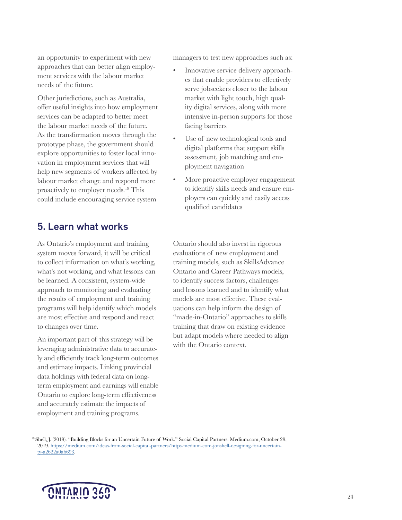<span id="page-23-0"></span>an opportunity to experiment with new approaches that can better align employment services with the labour market needs of the future.

Other jurisdictions, such as Australia, offer useful insights into how employment services can be adapted to better meet the labour market needs of the future. As the transformation moves through the prototype phase, the government should explore opportunities to foster local innovation in employment services that will help new segments of workers affected by labour market change and respond more proactively to employer needs.19 This could include encouraging service system

### 5. Learn what works

As Ontario's employment and training system moves forward, it will be critical to collect information on what's working, what's not working, and what lessons can be learned. A consistent, system-wide approach to monitoring and evaluating the results of employment and training programs will help identify which models are most effective and respond and react to changes over time.

An important part of this strategy will be leveraging administrative data to accurately and efficiently track long-term outcomes and estimate impacts. Linking provincial data holdings with federal data on longterm employment and earnings will enable Ontario to explore long-term effectiveness and accurately estimate the impacts of employment and training programs.

managers to test new approaches such as:

- Innovative service delivery approaches that enable providers to effectively serve jobseekers closer to the labour market with light touch, high quality digital services, along with more intensive in-person supports for those facing barriers
- Use of new technological tools and digital platforms that support skills assessment, job matching and employment navigation
- More proactive employer engagement to identify skills needs and ensure employers can quickly and easily access qualified candidates

Ontario should also invest in rigorous evaluations of new employment and training models, such as SkillsAdvance Ontario and Career Pathways models, to identify success factors, challenges and lessons learned and to identify what models are most effective. These evaluations can help inform the design of "made-in-Ontario" approaches to skills training that draw on existing evidence but adapt models where needed to align with the Ontario context.

19 Shell, J. (2019). "Building Blocks for an Uncertain Future of Work." Social Capital Partners. Medium.com, October 29, 2019[. https://medium.com/ideas-from-social-capital-partners/https-medium-com-jonshell-designing-for-uncertain]( https://medium.com/ideas-from-social-capital-partners/https-medium-com-jonshell-designing-for-uncertainty-a2622a0ab693)[ty-a2622a0ab693.]( https://medium.com/ideas-from-social-capital-partners/https-medium-com-jonshell-designing-for-uncertainty-a2622a0ab693)

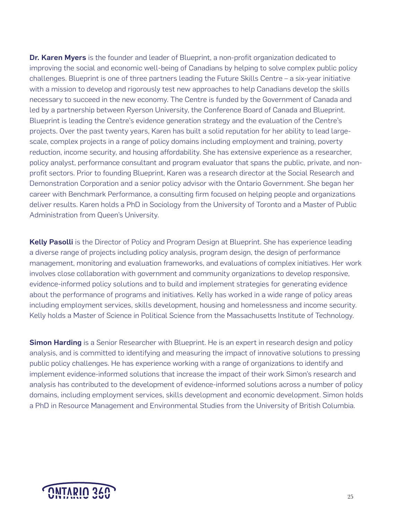Dr. Karen Myers is the founder and leader of Blueprint, a non-profit organization dedicated to improving the social and economic well-being of Canadians by helping to solve complex public policy challenges. Blueprint is one of three partners leading the Future Skills Centre – a six-year initiative with a mission to develop and rigorously test new approaches to help Canadians develop the skills necessary to succeed in the new economy. The Centre is funded by the Government of Canada and led by a partnership between Ryerson University, the Conference Board of Canada and Blueprint. Blueprint is leading the Centre's evidence generation strategy and the evaluation of the Centre's projects. Over the past twenty years, Karen has built a solid reputation for her ability to lead largescale, complex projects in a range of policy domains including employment and training, poverty reduction, income security, and housing affordability. She has extensive experience as a researcher, policy analyst, performance consultant and program evaluator that spans the public, private, and nonprofit sectors. Prior to founding Blueprint, Karen was a research director at the Social Research and Demonstration Corporation and a senior policy advisor with the Ontario Government. She began her career with Benchmark Performance, a consulting firm focused on helping people and organizations deliver results. Karen holds a PhD in Sociology from the University of Toronto and a Master of Public Administration from Queen's University.

Kelly Pasolli is the Director of Policy and Program Design at Blueprint. She has experience leading a diverse range of projects including policy analysis, program design, the design of performance management, monitoring and evaluation frameworks, and evaluations of complex initiatives. Her work involves close collaboration with government and community organizations to develop responsive, evidence-informed policy solutions and to build and implement strategies for generating evidence about the performance of programs and initiatives. Kelly has worked in a wide range of policy areas including employment services, skills development, housing and homelessness and income security. Kelly holds a Master of Science in Political Science from the Massachusetts Institute of Technology.

Simon Harding is a Senior Researcher with Blueprint. He is an expert in research design and policy analysis, and is committed to identifying and measuring the impact of innovative solutions to pressing public policy challenges. He has experience working with a range of organizations to identify and implement evidence-informed solutions that increase the impact of their work Simon's research and analysis has contributed to the development of evidence-informed solutions across a number of policy domains, including employment services, skills development and economic development. Simon holds a PhD in Resource Management and Environmental Studies from the University of British Columbia.